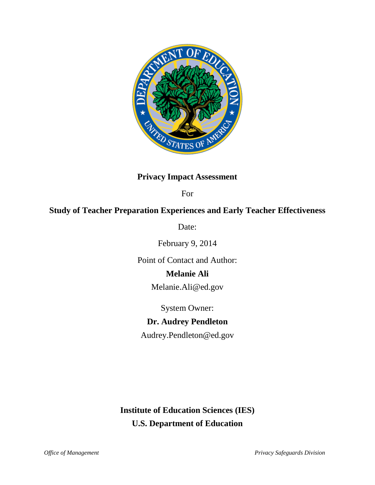

## **Privacy Impact Assessment**

For

## **Study of Teacher Preparation Experiences and Early Teacher Effectiveness**

Date:

February 9, 2014

Point of Contact and Author:

## **Melanie Ali**

[Melanie.Ali@ed.gov](mailto:Melanie.Ali@ed.gov)

System Owner:

# **Dr. Audrey Pendleton**

Audrey.Pendleton@ed.gov

**Institute of Education Sciences (IES) U.S. Department of Education**

*Office of Management Privacy Safeguards Division*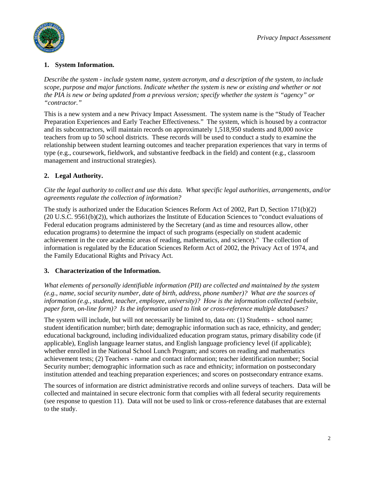

### **1. System Information.**

*Describe the system - include system name, system acronym, and a description of the system, to include scope, purpose and major functions. Indicate whether the system is new or existing and whether or not the PIA is new or being updated from a previous version; specify whether the system is "agency" or "contractor."*

This is a new system and a new Privacy Impact Assessment. The system name is the "Study of Teacher Preparation Experiences and Early Teacher Effectiveness." The system, which is housed by a contractor and its subcontractors, will maintain records on approximately 1,518,950 students and 8,000 novice teachers from up to 50 school districts. These records will be used to conduct a study to examine the relationship between student learning outcomes and teacher preparation experiences that vary in terms of type (e.g., coursework, fieldwork, and substantive feedback in the field) and content (e.g., classroom management and instructional strategies).

## **2. Legal Authority.**

*Cite the legal authority to collect and use this data. What specific legal authorities, arrangements, and/or agreements regulate the collection of information?*

The study is authorized under the Education Sciences Reform Act of 2002, Part D, Section 171(b)(2) (20 U.S.C. 9561(b)(2)), which authorizes the Institute of Education Sciences to "conduct evaluations of Federal education programs administered by the Secretary (and as time and resources allow, other education programs) to determine the impact of such programs (especially on student academic achievement in the core academic areas of reading, mathematics, and science)." The collection of information is regulated by the Education Sciences Reform Act of 2002, the Privacy Act of 1974, and the Family Educational Rights and Privacy Act.

## **3. Characterization of the Information.**

*What elements of personally identifiable information (PII) are collected and maintained by the system (e.g., name, social security number, date of birth, address, phone number)? What are the sources of information (e.g., student, teacher, employee, university)? How is the information collected (website, paper form, on-line form)? Is the information used to link or cross-reference multiple databases?*

The system will include, but will not necessarily be limited to, data on: (1) Students - school name; student identification number; birth date; demographic information such as race, ethnicity, and gender; educational background, including individualized education program status, primary disability code (if applicable), English language learner status, and English language proficiency level (if applicable); whether enrolled in the National School Lunch Program; and scores on reading and mathematics achievement tests; (2) Teachers - name and contact information; teacher identification number; Social Security number; demographic information such as race and ethnicity; information on postsecondary institution attended and teaching preparation experiences; and scores on postsecondary entrance exams.

The sources of information are district administrative records and online surveys of teachers. Data will be collected and maintained in secure electronic form that complies with all federal security requirements (see response to question 11). Data will not be used to link or cross-reference databases that are external to the study.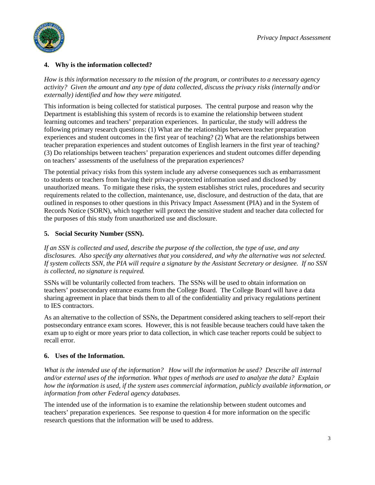

### **4. Why is the information collected?**

*How is this information necessary to the mission of the program, or contributes to a necessary agency activity? Given the amount and any type of data collected, discuss the privacy risks (internally and/or externally) identified and how they were mitigated.*

This information is being collected for statistical purposes. The central purpose and reason why the Department is establishing this system of records is to examine the relationship between student learning outcomes and teachers' preparation experiences. In particular, the study will address the following primary research questions: (1) What are the relationships between teacher preparation experiences and student outcomes in the first year of teaching? (2) What are the relationships between teacher preparation experiences and student outcomes of English learners in the first year of teaching? (3) Do relationships between teachers' preparation experiences and student outcomes differ depending on teachers' assessments of the usefulness of the preparation experiences?

The potential privacy risks from this system include any adverse consequences such as embarrassment to students or teachers from having their privacy-protected information used and disclosed by unauthorized means. To mitigate these risks, the system establishes strict rules, procedures and security requirements related to the collection, maintenance, use, disclosure, and destruction of the data, that are outlined in responses to other questions in this Privacy Impact Assessment (PIA) and in the System of Records Notice (SORN), which together will protect the sensitive student and teacher data collected for the purposes of this study from unauthorized use and disclosure.

### **5. Social Security Number (SSN).**

*If an SSN is collected and used, describe the purpose of the collection, the type of use, and any disclosures. Also specify any alternatives that you considered, and why the alternative was not selected. If system collects SSN, the PIA will require a signature by the Assistant Secretary or designee. If no SSN is collected, no signature is required.*

SSNs will be voluntarily collected from teachers. The SSNs will be used to obtain information on teachers' postsecondary entrance exams from the College Board. The College Board will have a data sharing agreement in place that binds them to all of the confidentiality and privacy regulations pertinent to IES contractors.

As an alternative to the collection of SSNs, the Department considered asking teachers to self-report their postsecondary entrance exam scores. However, this is not feasible because teachers could have taken the exam up to eight or more years prior to data collection, in which case teacher reports could be subject to recall error.

## **6. Uses of the Information.**

*What is the intended use of the information? How will the information be used? Describe all internal and/or external uses of the information. What types of methods are used to analyze the data? Explain how the information is used, if the system uses commercial information, publicly available information, or information from other Federal agency databases.*

The intended use of the information is to examine the relationship between student outcomes and teachers' preparation experiences. See response to question 4 for more information on the specific research questions that the information will be used to address.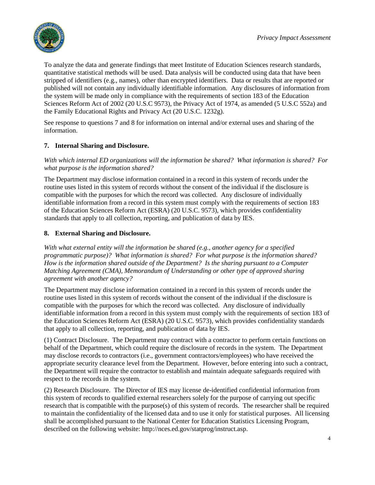

To analyze the data and generate findings that meet Institute of Education Sciences research standards, quantitative statistical methods will be used. Data analysis will be conducted using data that have been stripped of identifiers (e.g., names), other than encrypted identifiers. Data or results that are reported or published will not contain any individually identifiable information. Any disclosures of information from the system will be made only in compliance with the requirements of section 183 of the Education Sciences Reform Act of 2002 (20 U.S.C 9573), the Privacy Act of 1974, as amended (5 U.S.C 552a) and the Family Educational Rights and Privacy Act (20 U.S.C. 1232g).

See response to questions 7 and 8 for information on internal and/or external uses and sharing of the information.

## **7. Internal Sharing and Disclosure.**

*With which internal ED organizations will the information be shared? What information is shared? For what purpose is the information shared?*

The Department may disclose information contained in a record in this system of records under the routine uses listed in this system of records without the consent of the individual if the disclosure is compatible with the purposes for which the record was collected. Any disclosure of individually identifiable information from a record in this system must comply with the requirements of section 183 of the Education Sciences Reform Act (ESRA) (20 U.S.C. 9573), which provides confidentiality standards that apply to all collection, reporting, and publication of data by IES.

### **8. External Sharing and Disclosure.**

*With what external entity will the information be shared (e.g., another agency for a specified programmatic purpose)? What information is shared? For what purpose is the information shared? How is the information shared outside of the Department? Is the sharing pursuant to a Computer Matching Agreement (CMA), Memorandum of Understanding or other type of approved sharing agreement with another agency?*

The Department may disclose information contained in a record in this system of records under the routine uses listed in this system of records without the consent of the individual if the disclosure is compatible with the purposes for which the record was collected. Any disclosure of individually identifiable information from a record in this system must comply with the requirements of section 183 of the Education Sciences Reform Act (ESRA) (20 U.S.C. 9573), which provides confidentiality standards that apply to all collection, reporting, and publication of data by IES.

(1) Contract Disclosure. The Department may contract with a contractor to perform certain functions on behalf of the Department, which could require the disclosure of records in the system. The Department may disclose records to contractors (i.e., government contractors/employees) who have received the appropriate security clearance level from the Department. However, before entering into such a contract, the Department will require the contractor to establish and maintain adequate safeguards required with respect to the records in the system.

(2) Research Disclosure. The Director of IES may license de-identified confidential information from this system of records to qualified external researchers solely for the purpose of carrying out specific research that is compatible with the purpose(s) of this system of records. The researcher shall be required to maintain the confidentiality of the licensed data and to use it only for statistical purposes. All licensing shall be accomplished pursuant to the National Center for Education Statistics Licensing Program, described on the following website: http://nces.ed.gov/statprog/instruct.asp.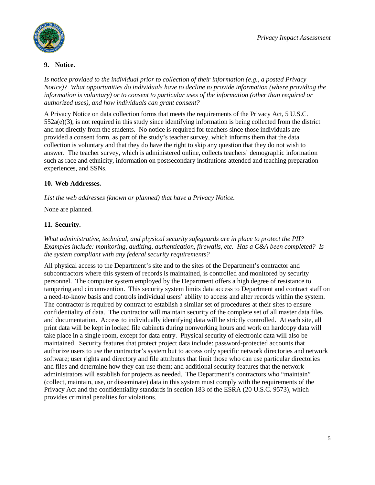



#### **9. Notice.**

*Is notice provided to the individual prior to collection of their information (e.g., a posted Privacy Notice)? What opportunities do individuals have to decline to provide information (where providing the information is voluntary) or to consent to particular uses of the information (other than required or authorized uses), and how individuals can grant consent?* 

A Privacy Notice on data collection forms that meets the requirements of the Privacy Act, 5 U.S.C.  $552a(e)(3)$ , is not required in this study since identifying information is being collected from the district and not directly from the students.No notice is required for teachers since those individuals are provided a consent form, as part of the study's teacher survey, which informs them that the data collection is voluntary and that they do have the right to skip any question that they do not wish to answer. The teacher survey, which is administered online, collects teachers' demographic information such as race and ethnicity, information on postsecondary institutions attended and teaching preparation experiences, and SSNs.

#### **10. Web Addresses.**

*List the web addresses (known or planned) that have a Privacy Notice.*

None are planned.

### **11. Security.**

*What administrative, technical, and physical security safeguards are in place to protect the PII? Examples include: monitoring, auditing, authentication, firewalls, etc. Has a C&A been completed? Is the system compliant with any federal security requirements?* 

All physical access to the Department's site and to the sites of the Department's contractor and subcontractors where this system of records is maintained, is controlled and monitored by security personnel. The computer system employed by the Department offers a high degree of resistance to tampering and circumvention. This security system limits data access to Department and contract staff on a need-to-know basis and controls individual users' ability to access and alter records within the system. The contractor is required by contract to establish a similar set of procedures at their sites to ensure confidentiality of data. The contractor will maintain security of the complete set of all master data files and documentation. Access to individually identifying data will be strictly controlled. At each site, all print data will be kept in locked file cabinets during nonworking hours and work on hardcopy data will take place in a single room, except for data entry. Physical security of electronic data will also be maintained. Security features that protect project data include: password-protected accounts that authorize users to use the contractor's system but to access only specific network directories and network software; user rights and directory and file attributes that limit those who can use particular directories and files and determine how they can use them; and additional security features that the network administrators will establish for projects as needed. The Department's contractors who "maintain" (collect, maintain, use, or disseminate) data in this system must comply with the requirements of the Privacy Act and the confidentiality standards in section 183 of the ESRA (20 U.S.C. 9573), which provides criminal penalties for violations.